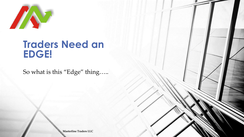

#### **Traders Need an EDGE!**

So what is this "Edge" thing…..

**Masterline Traders LLC**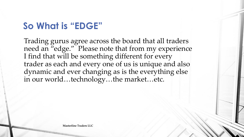### **So What is "EDGE"**

Trading gurus agree across the board that all traders need an "edge." Please note that from my experience I find that will be something different for every trader as each and every one of us is unique and also dynamic and ever changing as is the everything else in our world…technology…the market…etc.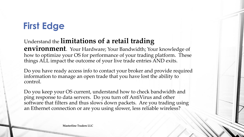## **First Edge**

#### Understand the **limitations of a retail trading**

**environment**. Your Hardware; Your Bandwidth; Your knowledge of how to optimize your OS for performance of your trading platform. These things ALL impact the outcome of your live trade entries AND exits.

Do you have ready access info to contact your broker and provide required information to manage an open trade that you have lost the ability to control.

Do you keep your OS current, understand how to check bandwidth and ping response to data servers. Do you turn off AntiVirus and other software that filters and thus slows down packets. Are you trading using an Ethernet connection or are you using slower, less reliable wireless?

**Masterline Traders LLC**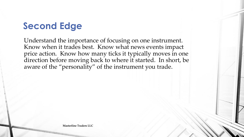## **Second Edge**

Understand the importance of focusing on one instrument. Know when it trades best. Know what news events impact price action. Know how many ticks it typically moves in one direction before moving back to where it started. In short, be aware of the "personality" of the instrument you trade.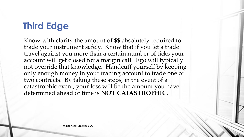## **Third Edge**

Know with clarity the amount of \$\$ absolutely required to trade your instrument safely. Know that if you let a trade travel against you more than a certain number of ticks your account will get closed for a margin call. Ego will typically not override that knowledge. Handcuff yourself by keeping only enough money in your trading account to trade one or two contracts. By taking these steps, in the event of a catastrophic event, your loss will be the amount you have determined ahead of time is **NOT CATASTROPHIC**.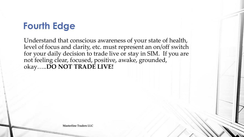# **Fourth Edge**

Understand that conscious awareness of your state of health, level of focus and clarity, etc. must represent an on/off switch for your daily decision to trade live or stay in SIM. If you are not feeling clear, focused, positive, awake, grounded, okay…..**DO NOT TRADE LIVE!**